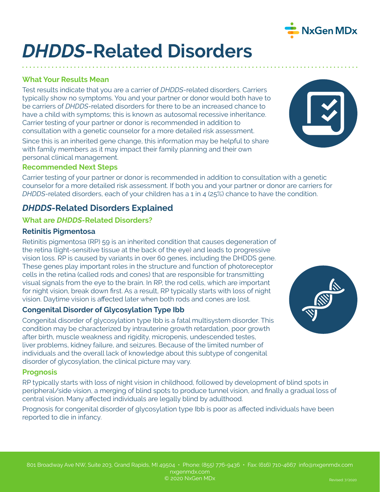

# *DHDDS***-Related Disorders**

## **What Your Results Mean**

Test results indicate that you are a carrier of *DHDDS*-related disorders. Carriers typically show no symptoms. You and your partner or donor would both have to be carriers of *DHDDS*-related disorders for there to be an increased chance to have a child with symptoms; this is known as autosomal recessive inheritance. Carrier testing of your partner or donor is recommended in addition to consultation with a genetic counselor for a more detailed risk assessment.

Since this is an inherited gene change, this information may be helpful to share with family members as it may impact their family planning and their own personal clinical management.

#### **Recommended Next Steps**

Carrier testing of your partner or donor is recommended in addition to consultation with a genetic counselor for a more detailed risk assessment. If both you and your partner or donor are carriers for *DHDDS*-related disorders, each of your children has a 1 in 4 (25%) chance to have the condition.

## *DHDDS***-Related Disorders Explained**

#### **What are** *DHDDS***-Related Disorders?**

#### **Retinitis Pigmentosa**

Retinitis pigmentosa (RP) 59 is an inherited condition that causes degeneration of the retina (light-sensitive tissue at the back of the eye) and leads to progressive vision loss. RP is caused by variants in over 60 genes, including the DHDDS gene. These genes play important roles in the structure and function of photoreceptor cells in the retina (called rods and cones) that are responsible for transmitting visual signals from the eye to the brain. In RP, the rod cells, which are important for night vision, break down first. As a result, RP typically starts with loss of night vision. Daytime vision is affected later when both rods and cones are lost.

### **Congenital Disorder of Glycosylation Type Ibb**

Congenital disorder of glycosylation type Ibb is a fatal multisystem disorder. This condition may be characterized by intrauterine growth retardation, poor growth after birth, muscle weakness and rigidity, micropenis, undescended testes, liver problems, kidney failure, and seizures. Because of the limited number of individuals and the overall lack of knowledge about this subtype of congenital disorder of glycosylation, the clinical picture may vary.

#### **Prognosis**

RP typically starts with loss of night vision in childhood, followed by development of blind spots in peripheral/side vision, a merging of blind spots to produce tunnel vision, and finally a gradual loss of central vision. Many affected individuals are legally blind by adulthood.

Prognosis for congenital disorder of glycosylation type Ibb is poor as affected individuals have been reported to die in infancy.